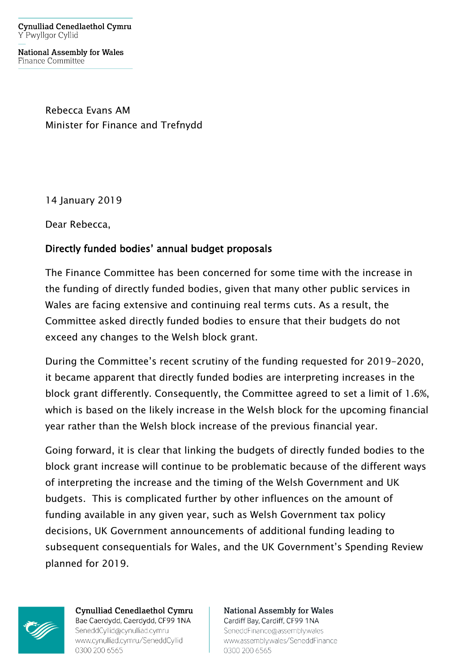**Cynulliad Cenedlaethol Cymru** Y Pwyllgor Cyllid

**National Assembly for Wales** Finance Committee

> Rebecca Evans AM Minister for Finance and Trefnydd

14 January 2019

Dear Rebecca,

## Directly funded bodies' annual budget proposals

The Finance Committee has been concerned for some time with the increase in the funding of directly funded bodies, given that many other public services in Wales are facing extensive and continuing real terms cuts. As a result, the Committee asked directly funded bodies to ensure that their budgets do not exceed any changes to the Welsh block grant.

During the Committee's recent scrutiny of the funding requested for 2019-2020, it became apparent that directly funded bodies are interpreting increases in the block grant differently. Consequently, the Committee agreed to set a limit of 1.6%, which is based on the likely increase in the Welsh block for the upcoming financial year rather than the Welsh block increase of the previous financial year.

Going forward, it is clear that linking the budgets of directly funded bodies to the block grant increase will continue to be problematic because of the different ways of interpreting the increase and the timing of the Welsh Government and UK budgets. This is complicated further by other influences on the amount of funding available in any given year, such as Welsh Government tax policy decisions, UK Government announcements of additional funding leading to subsequent consequentials for Wales, and the UK Government's Spending Review planned for 2019.



**Cynulliad Cenedlaethol Cymru** Bae Caerdydd, Caerdydd, CF99 1NA SeneddCyllid@cynulliad.cymru www.cynulliad.cymru/SeneddCyllid 0300 200 6565

**National Assembly for Wales** Cardiff Bay, Cardiff, CF99 1NA SeneddFinance@assembly.wales www.assembly.wales/SeneddFinance 0300 200 6565